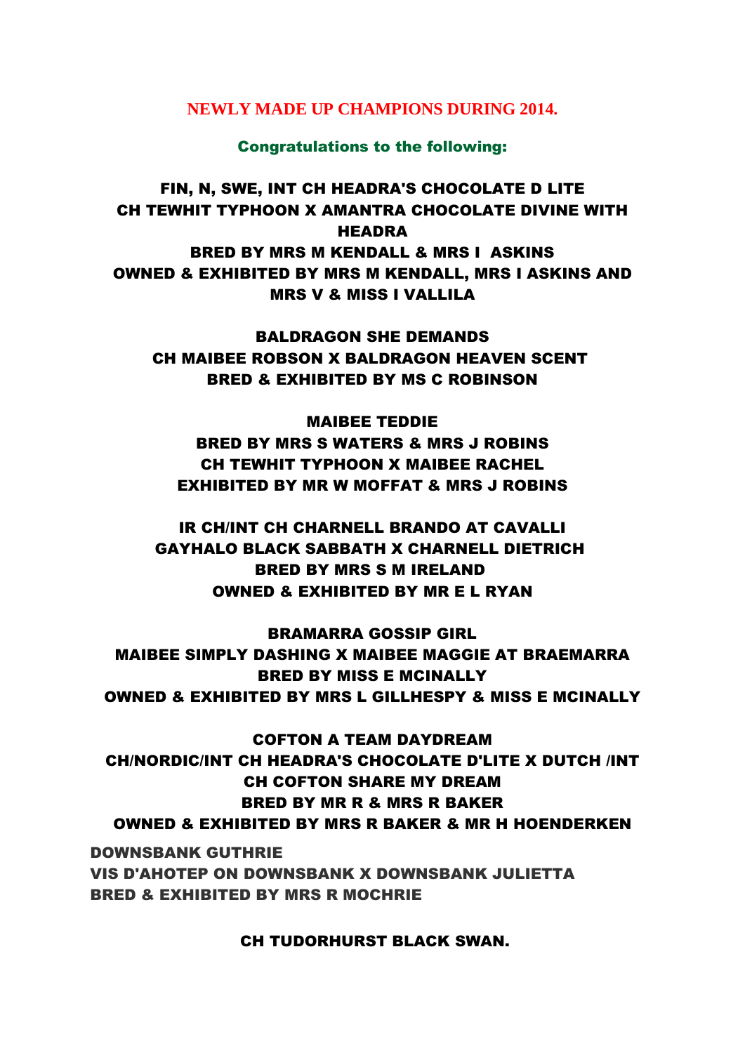## **NEWLY MADE UP CHAMPIONS DURING 2014.**

## Congratulations to the following:

## FIN, N, SWE, INT CH HEADRA'S CHOCOLATE D LITE CH TEWHIT TYPHOON X AMANTRA CHOCOLATE DIVINE WITH **HEADRA** BRED BY MRS M KENDALL & MRS I ASKINS OWNED & EXHIBITED BY MRS M KENDALL, MRS I ASKINS AND MRS V & MISS I VALLILA

BALDRAGON SHE DEMANDS CH MAIBEE ROBSON X BALDRAGON HEAVEN SCENT BRED & EXHIBITED BY MS C ROBINSON

MAIBEE TEDDIE BRED BY MRS S WATERS & MRS J ROBINS CH TEWHIT TYPHOON X MAIBEE RACHEL EXHIBITED BY MR W MOFFAT & MRS J ROBINS

IR CH/INT CH CHARNELL BRANDO AT CAVALLI GAYHALO BLACK SABBATH X CHARNELL DIETRICH BRED BY MRS S M IRELAND OWNED & EXHIBITED BY MR E L RYAN

BRAMARRA GOSSIP GIRL MAIBEE SIMPLY DASHING X MAIBEE MAGGIE AT BRAEMARRA BRED BY MISS E MCINALLY OWNED & EXHIBITED BY MRS L GILLHESPY & MISS E MCINALLY

COFTON A TEAM DAYDREAM CH/NORDIC/INT CH HEADRA'S CHOCOLATE D'LITE X DUTCH /INT CH COFTON SHARE MY DREAM BRED BY MR R & MRS R BAKER OWNED & EXHIBITED BY MRS R BAKER & MR H HOENDERKEN

DOWNSBANK GUTHRIE VIS D'AHOTEP ON DOWNSBANK X DOWNSBANK JULIETTA BRED & EXHIBITED BY MRS R MOCHRIE

CH TUDORHURST BLACK SWAN.